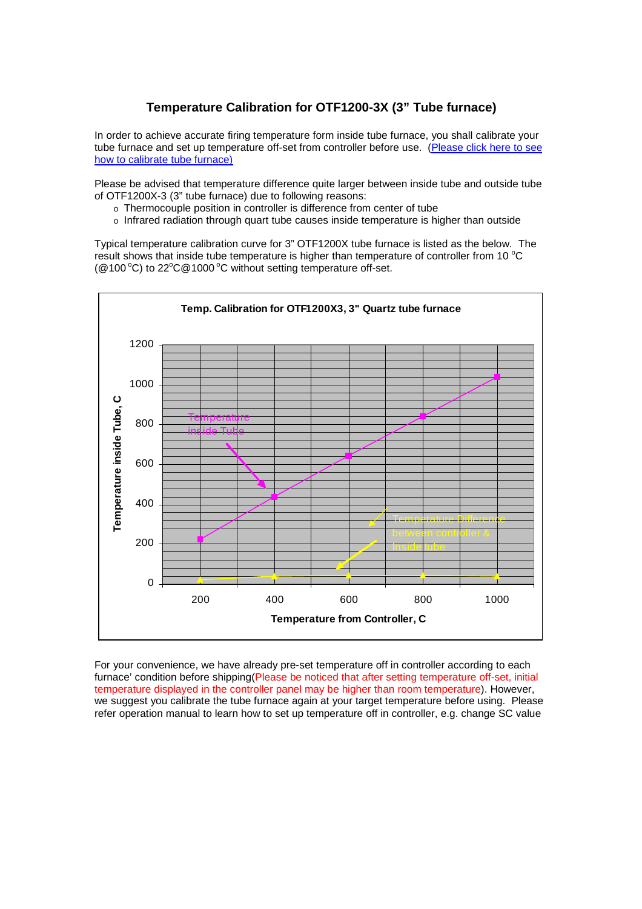## **Temperature Calibration for OTF1200-3X (3" Tube furnace)**

In order to achieve accurate firing temperature form inside tube furnace, you shall calibrate your tube furnace and set up temperature off-set from controller before use. (Please click here to see how to calibrate tube furnace)

Please be advised that temperature difference quite larger between inside tube and outside tube of OTF1200X-3 (3" tube furnace) due to following reasons:

- o Thermocouple position in controller is difference from center of tube
- o Infrared radiation through quart tube causes inside temperature is higher than outside

Typical temperature calibration curve for 3" OTF1200X tube furnace is listed as the below. The result shows that inside tube temperature is higher than temperature of controller from 10  $^{\circ}$ C ( $@100°C$ ) to  $22°C@1000°C$  without setting temperature off-set.



For your convenience, we have already pre-set temperature off in controller according to each furnace' condition before shipping(Please be noticed that after setting temperature off-set, initial temperature displayed in the controller panel may be higher than room temperature). However, we suggest you calibrate the tube furnace again at your target temperature before using. Please refer operation manual to learn how to set up temperature off in controller, e.g. change SC value